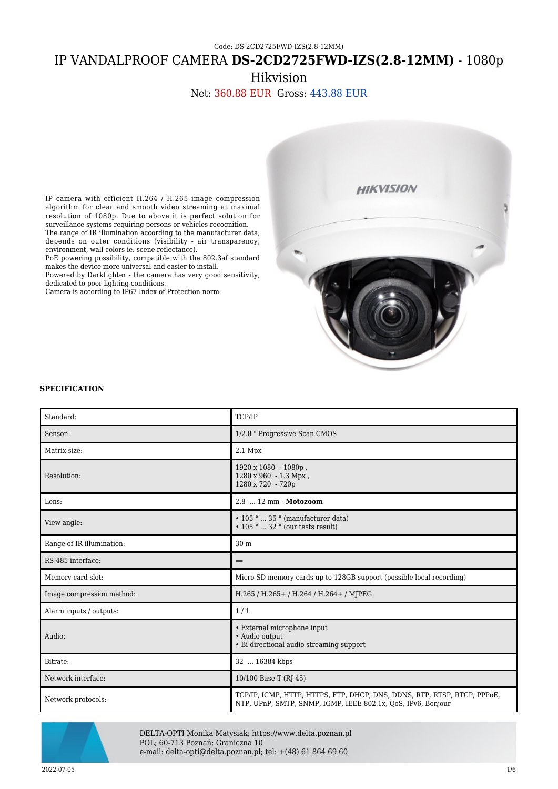## IP VANDALPROOF CAMERA **DS-2CD2725FWD-IZS(2.8-12MM)** - 1080p

Hikvision

Net: 360.88 EUR Gross: 443.88 EUR



# **SPECIFICATION**

IP camera with efficient H.264 / H.265 image compression algorithm for clear and smooth video streaming at maximal resolution of 1080p. Due to above it is perfect solution for surveillance systems requiring persons or vehicles recognition. The range of IR illumination according to the manufacturer data, depends on outer conditions (visibility - air transparency,

PoE powering possibility, compatible with the 802.3af standard

Powered by Darkfighter - the camera has very good sensitivity,

environment, wall colors ie. scene reflectance).

dedicated to poor lighting conditions.

makes the device more universal and easier to install.

Camera is according to IP67 Index of Protection norm.

| Standard:                 | TCP/IP                                                                                                                                   |
|---------------------------|------------------------------------------------------------------------------------------------------------------------------------------|
| Sensor:                   | 1/2.8 " Progressive Scan CMOS                                                                                                            |
| Matrix size:              | $2.1$ Mpx                                                                                                                                |
| Resolution:               | $1920 \times 1080 - 1080p$ ,<br>1280 x 960 - 1.3 Mpx,<br>1280 x 720 - 720p                                                               |
| Lens:                     | $2.8 \dots 12 \text{ mm}$ - Motozoom                                                                                                     |
| View angle:               | $\cdot$ 105 °  35 ° (manufacturer data)<br>$\cdot$ 105 °  32 ° (our tests result)                                                        |
| Range of IR illumination: | 30 m                                                                                                                                     |
| RS-485 interface:         | -                                                                                                                                        |
| Memory card slot:         | Micro SD memory cards up to 128GB support (possible local recording)                                                                     |
| Image compression method: | H.265 / H.265 + / H.264 / H.264 + / MJPEG                                                                                                |
| Alarm inputs / outputs:   | 1/1                                                                                                                                      |
| Audio:                    | • External microphone input<br>• Audio output<br>• Bi-directional audio streaming support                                                |
| Bitrate:                  | 32  16384 kbps                                                                                                                           |
| Network interface:        | 10/100 Base-T (RJ-45)                                                                                                                    |
| Network protocols:        | TCP/IP, ICMP, HTTP, HTTPS, FTP, DHCP, DNS, DDNS, RTP, RTSP, RTCP, PPPoE,<br>NTP, UPnP, SMTP, SNMP, IGMP, IEEE 802.1x, OoS, IPv6, Bonjour |



DELTA-OPTI Monika Matysiak; https://www.delta.poznan.pl POL; 60-713 Poznań; Graniczna 10 e-mail: delta-opti@delta.poznan.pl; tel: +(48) 61 864 69 60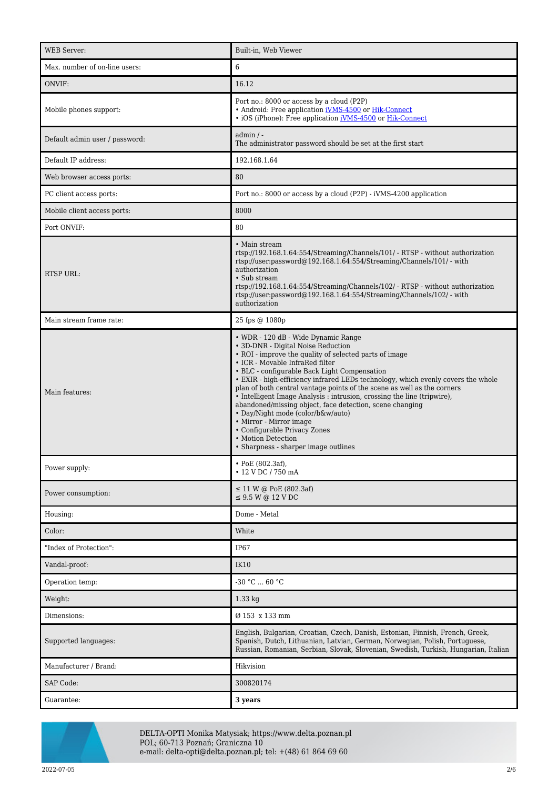| <b>WEB</b> Server:             | Built-in, Web Viewer                                                                                                                                                                                                                                                                                                                                                                                                                                                                                                                                                                                                                                                                       |
|--------------------------------|--------------------------------------------------------------------------------------------------------------------------------------------------------------------------------------------------------------------------------------------------------------------------------------------------------------------------------------------------------------------------------------------------------------------------------------------------------------------------------------------------------------------------------------------------------------------------------------------------------------------------------------------------------------------------------------------|
| Max. number of on-line users:  | 6                                                                                                                                                                                                                                                                                                                                                                                                                                                                                                                                                                                                                                                                                          |
| ONVIF:                         | 16.12                                                                                                                                                                                                                                                                                                                                                                                                                                                                                                                                                                                                                                                                                      |
| Mobile phones support:         | Port no.: 8000 or access by a cloud (P2P)<br>• Android: Free application iVMS-4500 or Hik-Connect<br>• iOS (iPhone): Free application <i>iVMS-4500</i> or <i>Hik-Connect</i>                                                                                                                                                                                                                                                                                                                                                                                                                                                                                                               |
| Default admin user / password: | $admin / -$<br>The administrator password should be set at the first start                                                                                                                                                                                                                                                                                                                                                                                                                                                                                                                                                                                                                 |
| Default IP address:            | 192.168.1.64                                                                                                                                                                                                                                                                                                                                                                                                                                                                                                                                                                                                                                                                               |
| Web browser access ports:      | 80                                                                                                                                                                                                                                                                                                                                                                                                                                                                                                                                                                                                                                                                                         |
| PC client access ports:        | Port no.: 8000 or access by a cloud (P2P) - iVMS-4200 application                                                                                                                                                                                                                                                                                                                                                                                                                                                                                                                                                                                                                          |
| Mobile client access ports:    | 8000                                                                                                                                                                                                                                                                                                                                                                                                                                                                                                                                                                                                                                                                                       |
| Port ONVIF:                    | 80                                                                                                                                                                                                                                                                                                                                                                                                                                                                                                                                                                                                                                                                                         |
| RTSP URL:                      | • Main stream<br>rtsp://192.168.1.64:554/Streaming/Channels/101/ - RTSP - without authorization<br>rtsp://user.password@192.168.1.64:554/Streaming/Channels/101/ - with<br>authorization<br>• Sub stream<br>rtsp://192.168.1.64:554/Streaming/Channels/102/ - RTSP - without authorization<br>rtsp://user.password@192.168.1.64:554/Streaming/Channels/102/ - with<br>authorization                                                                                                                                                                                                                                                                                                        |
| Main stream frame rate:        | 25 fps @ 1080p                                                                                                                                                                                                                                                                                                                                                                                                                                                                                                                                                                                                                                                                             |
| Main features:                 | • WDR - 120 dB - Wide Dynamic Range<br>• 3D-DNR - Digital Noise Reduction<br>• ROI - improve the quality of selected parts of image<br>• ICR - Movable InfraRed filter<br>• BLC - configurable Back Light Compensation<br>· EXIR - high-efficiency infrared LEDs technology, which evenly covers the whole<br>plan of both central vantage points of the scene as well as the corners<br>• Intelligent Image Analysis : intrusion, crossing the line (tripwire),<br>abandoned/missing object, face detection, scene changing<br>• Day/Night mode (color/b&w/auto)<br>• Mirror - Mirror image<br>• Configurable Privacy Zones<br>• Motion Detection<br>• Sharpness - sharper image outlines |
| Power supply:                  | • PoE (802.3af),<br>• 12 V DC / 750 mA                                                                                                                                                                                                                                                                                                                                                                                                                                                                                                                                                                                                                                                     |
| Power consumption:             | $\leq$ 11 W @ PoE (802.3af)<br>$\leq$ 9.5 W @ 12 V DC                                                                                                                                                                                                                                                                                                                                                                                                                                                                                                                                                                                                                                      |
| Housing:                       | Dome - Metal                                                                                                                                                                                                                                                                                                                                                                                                                                                                                                                                                                                                                                                                               |
| Color:                         | White                                                                                                                                                                                                                                                                                                                                                                                                                                                                                                                                                                                                                                                                                      |
| "Index of Protection":         | IP <sub>67</sub>                                                                                                                                                                                                                                                                                                                                                                                                                                                                                                                                                                                                                                                                           |
| Vandal-proof:                  | <b>IK10</b>                                                                                                                                                                                                                                                                                                                                                                                                                                                                                                                                                                                                                                                                                |
| Operation temp:                | $-30 °C  60 °C$                                                                                                                                                                                                                                                                                                                                                                                                                                                                                                                                                                                                                                                                            |
| Weight:                        | 1.33 kg                                                                                                                                                                                                                                                                                                                                                                                                                                                                                                                                                                                                                                                                                    |
| Dimensions:                    | Ø 153 x 133 mm                                                                                                                                                                                                                                                                                                                                                                                                                                                                                                                                                                                                                                                                             |
| Supported languages:           | English, Bulgarian, Croatian, Czech, Danish, Estonian, Finnish, French, Greek,<br>Spanish, Dutch, Lithuanian, Latvian, German, Norwegian, Polish, Portuguese,<br>Russian, Romanian, Serbian, Slovak, Slovenian, Swedish, Turkish, Hungarian, Italian                                                                                                                                                                                                                                                                                                                                                                                                                                       |
| Manufacturer / Brand:          | Hikvision                                                                                                                                                                                                                                                                                                                                                                                                                                                                                                                                                                                                                                                                                  |
| SAP Code:                      | 300820174                                                                                                                                                                                                                                                                                                                                                                                                                                                                                                                                                                                                                                                                                  |
| Guarantee:                     | 3 years                                                                                                                                                                                                                                                                                                                                                                                                                                                                                                                                                                                                                                                                                    |



DELTA-OPTI Monika Matysiak; https://www.delta.poznan.pl POL; 60-713 Poznań; Graniczna 10 e-mail: delta-opti@delta.poznan.pl; tel: +(48) 61 864 69 60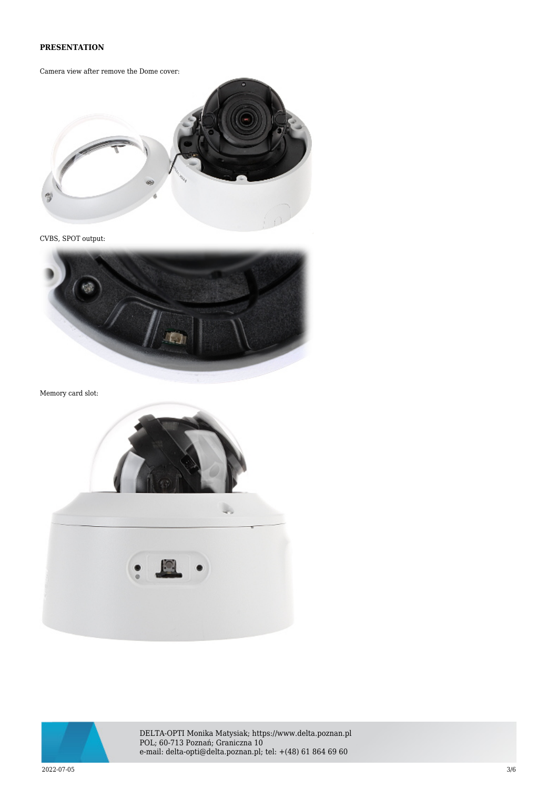#### **PRESENTATION**

Camera view after remove the Dome cover:



CVBS, SPOT output:



Memory card slot:





DELTA-OPTI Monika Matysiak; https://www.delta.poznan.pl POL; 60-713 Poznań; Graniczna 10 e-mail: delta-opti@delta.poznan.pl; tel: +(48) 61 864 69 60

 $2022$ -07-05  $3/6$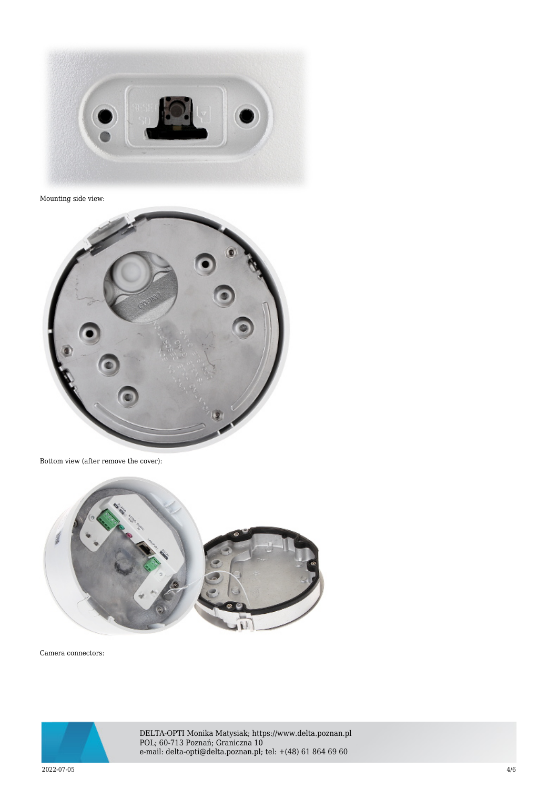

Mounting side view:



Bottom view (after remove the cover):



Camera connectors:



DELTA-OPTI Monika Matysiak; https://www.delta.poznan.pl POL; 60-713 Poznań; Graniczna 10 e-mail: delta-opti@delta.poznan.pl; tel: +(48) 61 864 69 60

 $2022$ -07-05  $4/6$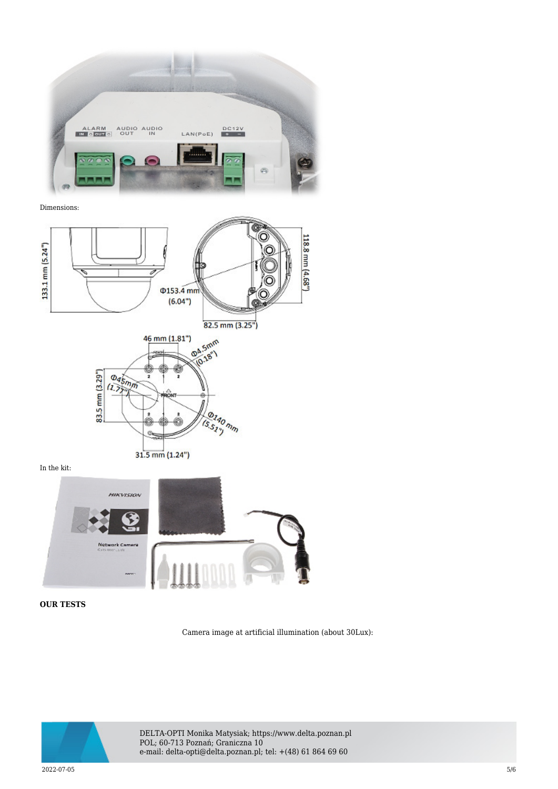

Dimensions:



In the kit:



### **OUR TESTS**

Camera image at artificial illumination (about 30Lux):



DELTA-OPTI Monika Matysiak; https://www.delta.poznan.pl POL; 60-713 Poznań; Graniczna 10 e-mail: delta-opti@delta.poznan.pl; tel: +(48) 61 864 69 60

 $2022$ -07-05  $5/6$